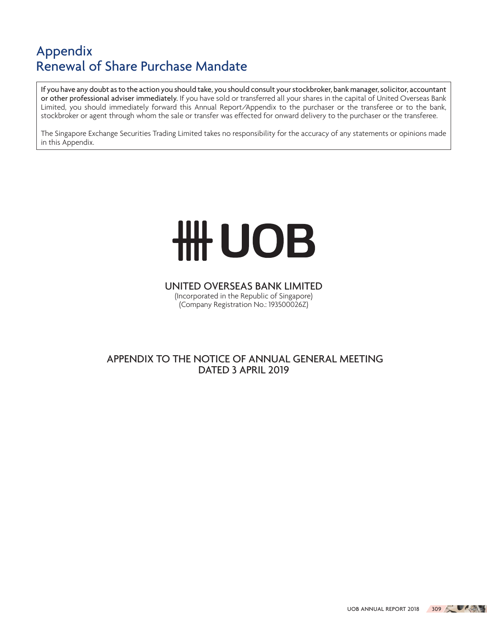If you have any doubt as to the action you should take, you should consult your stockbroker, bank manager, solicitor, accountant or other professional adviser immediately. If you have sold or transferred all your shares in the capital of United Overseas Bank Limited, you should immediately forward this Annual Report/Appendix to the purchaser or the transferee or to the bank, stockbroker or agent through whom the sale or transfer was effected for onward delivery to the purchaser or the transferee.

The Singapore Exchange Securities Trading Limited takes no responsibility for the accuracy of any statements or opinions made in this Appendix.

# HH UOB

UNITED OVERSEAS BANK LIMITED (Incorporated in the Republic of Singapore) (Company Registration No.: 193500026Z)

# APPENDIX TO THE NOTICE OF ANNUAL GENERAL MEETING DATED 3 APRIL 2019

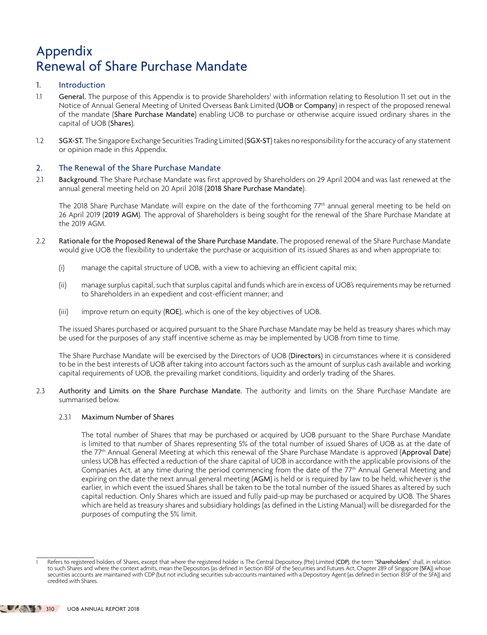# 1. Introduction

- 1.1 General. The purpose of this Appendix is to provide Shareholders<sup>1</sup> with information relating to Resolution 11 set out in the Notice of Annual General Meeting of United Overseas Bank Limited (UOB or Company) in respect of the proposed renewal of the mandate (Share Purchase Mandate) enabling UOB to purchase or otherwise acquire issued ordinary shares in the capital of UOB (Shares).
- 1.2 SGX-ST. The Singapore Exchange Securities Trading Limited (SGX-ST) takes no responsibility for the accuracy of any statement or opinion made in this Appendix.

# 2. The Renewal of the Share Purchase Mandate

2.1 Background. The Share Purchase Mandate was first approved by Shareholders on 29 April 2004 and was last renewed at the annual general meeting held on 20 April 2018 (2018 Share Purchase Mandate).

The 2018 Share Purchase Mandate will expire on the date of the forthcoming 77<sup>th</sup> annual general meeting to be held on 26 April 2019 (2019 AGM). The approval of Shareholders is being sought for the renewal of the Share Purchase Mandate at the 2019 AGM.

- 2.2 Rationale for the Proposed Renewal of the Share Purchase Mandate. The proposed renewal of the Share Purchase Mandate would give UOB the flexibility to undertake the purchase or acquisition of its issued Shares as and when appropriate to:
	- (i) manage the capital structure of UOB, with a view to achieving an efficient capital mix;
	- (ii) manage surplus capital, such that surplus capital and funds which are in excess of UOB's requirements may be returned to Shareholders in an expedient and cost-efficient manner; and
	- (iii) improve return on equity (ROE), which is one of the key objectives of UOB.

The issued Shares purchased or acquired pursuant to the Share Purchase Mandate may be held as treasury shares which may be used for the purposes of any staff incentive scheme as may be implemented by UOB from time to time.

The Share Purchase Mandate will be exercised by the Directors of UOB (Directors) in circumstances where it is considered to be in the best interests of UOB after taking into account factors such as the amount of surplus cash available and working capital requirements of UOB, the prevailing market conditions, liquidity and orderly trading of the Shares.

2.3 Authority and Limits on the Share Purchase Mandate. The authority and limits on the Share Purchase Mandate are summarised below.

# 2.3.1 Maximum Number of Shares

The total number of Shares that may be purchased or acquired by UOB pursuant to the Share Purchase Mandate is limited to that number of Shares representing 5% of the total number of issued Shares of UOB as at the date of the 77th Annual General Meeting at which this renewal of the Share Purchase Mandate is approved (Approval Date) unless UOB has effected a reduction of the share capital of UOB in accordance with the applicable provisions of the Companies Act, at any time during the period commencing from the date of the 77<sup>th</sup> Annual General Meeting and expiring on the date the next annual general meeting (AGM) is held or is required by law to be held, whichever is the earlier, in which event the issued Shares shall be taken to be the total number of the issued Shares as altered by such capital reduction. Only Shares which are issued and fully paid-up may be purchased or acquired by UOB. The Shares which are held as treasury shares and subsidiary holdings (as defined in the Listing Manual) will be disregarded for the purposes of computing the 5% limit.

Refers to registered holders of Shares, except that where the registered holder is The Central Depository (Pte) Limited (CDP), the term "Shareholders" shall, in relation to such Shares and where the context admits, mean the Depositors (as defined in Section 81SF of the Securities and Futures Act, Chapter 289 of Singapore (SFA)) whose securities accounts are maintained with CDP (but not including securities sub-accounts maintained with a Depository Agent (as defined in Section 81SF of the SFA)) and credited with Shares.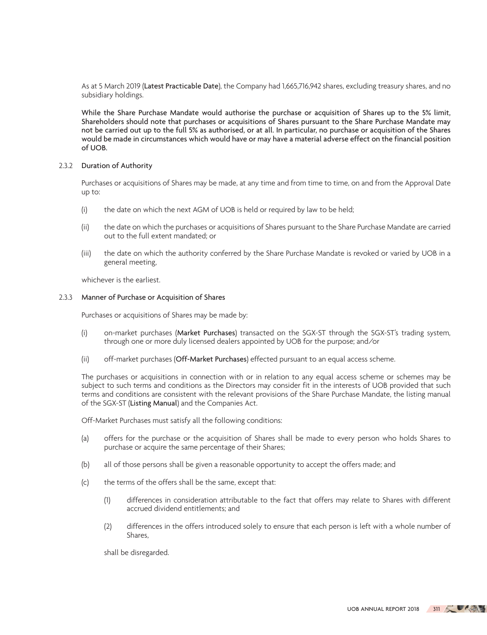As at 5 March 2019 (Latest Practicable Date), the Company had 1,665,716,942 shares, excluding treasury shares, and no subsidiary holdings.

While the Share Purchase Mandate would authorise the purchase or acquisition of Shares up to the 5% limit, Shareholders should note that purchases or acquisitions of Shares pursuant to the Share Purchase Mandate may not be carried out up to the full 5% as authorised, or at all. In particular, no purchase or acquisition of the Shares would be made in circumstances which would have or may have a material adverse effect on the financial position of UOB.

# 2.3.2 Duration of Authority

Purchases or acquisitions of Shares may be made, at any time and from time to time, on and from the Approval Date up to:

- (i) the date on which the next AGM of UOB is held or required by law to be held;
- (ii) the date on which the purchases or acquisitions of Shares pursuant to the Share Purchase Mandate are carried out to the full extent mandated; or
- (iii) the date on which the authority conferred by the Share Purchase Mandate is revoked or varied by UOB in a general meeting,

whichever is the earliest.

# 2.3.3 Manner of Purchase or Acquisition of Shares

Purchases or acquisitions of Shares may be made by:

- (i) on-market purchases (Market Purchases) transacted on the SGX-ST through the SGX-ST's trading system, through one or more duly licensed dealers appointed by UOB for the purpose; and/or
- (ii) off-market purchases (Off-Market Purchases) effected pursuant to an equal access scheme.

The purchases or acquisitions in connection with or in relation to any equal access scheme or schemes may be subject to such terms and conditions as the Directors may consider fit in the interests of UOB provided that such terms and conditions are consistent with the relevant provisions of the Share Purchase Mandate, the listing manual of the SGX-ST (Listing Manual) and the Companies Act.

Off-Market Purchases must satisfy all the following conditions:

- (a) offers for the purchase or the acquisition of Shares shall be made to every person who holds Shares to purchase or acquire the same percentage of their Shares;
- (b) all of those persons shall be given a reasonable opportunity to accept the offers made; and
- (c) the terms of the offers shall be the same, except that:
	- (1) differences in consideration attributable to the fact that offers may relate to Shares with different accrued dividend entitlements; and
	- (2) differences in the offers introduced solely to ensure that each person is left with a whole number of Shares,

shall be disregarded.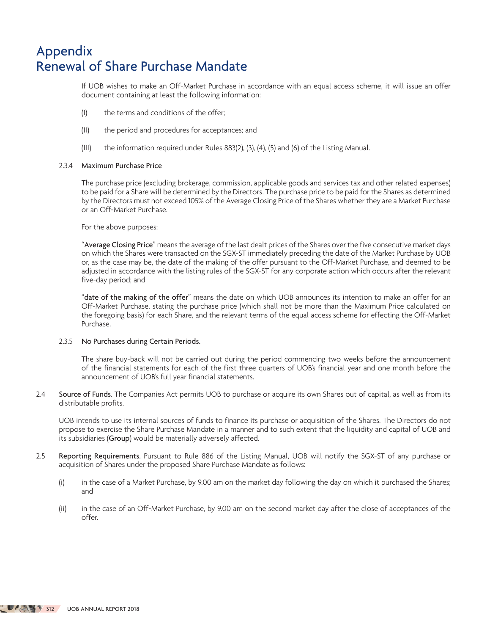If UOB wishes to make an Off-Market Purchase in accordance with an equal access scheme, it will issue an offer document containing at least the following information:

- (I) the terms and conditions of the offer;
- (II) the period and procedures for acceptances; and
- (III) the information required under Rules 883(2), (3), (4), (5) and (6) of the Listing Manual.

### 2.3.4 Maximum Purchase Price

The purchase price (excluding brokerage, commission, applicable goods and services tax and other related expenses) to be paid for a Share will be determined by the Directors. The purchase price to be paid for the Shares as determined by the Directors must not exceed 105% of the Average Closing Price of the Shares whether they are a Market Purchase or an Off-Market Purchase.

For the above purposes:

"Average Closing Price" means the average of the last dealt prices of the Shares over the five consecutive market days on which the Shares were transacted on the SGX-ST immediately preceding the date of the Market Purchase by UOB or, as the case may be, the date of the making of the offer pursuant to the Off-Market Purchase, and deemed to be adjusted in accordance with the listing rules of the SGX-ST for any corporate action which occurs after the relevant five-day period; and

"date of the making of the offer" means the date on which UOB announces its intention to make an offer for an Off-Market Purchase, stating the purchase price (which shall not be more than the Maximum Price calculated on the foregoing basis) for each Share, and the relevant terms of the equal access scheme for effecting the Off-Market Purchase.

# 2.3.5 No Purchases during Certain Periods.

The share buy-back will not be carried out during the period commencing two weeks before the announcement of the financial statements for each of the first three quarters of UOB's financial year and one month before the announcement of UOB's full year financial statements.

2.4 Source of Funds. The Companies Act permits UOB to purchase or acquire its own Shares out of capital, as well as from its distributable profits.

UOB intends to use its internal sources of funds to finance its purchase or acquisition of the Shares. The Directors do not propose to exercise the Share Purchase Mandate in a manner and to such extent that the liquidity and capital of UOB and its subsidiaries (Group) would be materially adversely affected.

- 2.5 Reporting Requirements. Pursuant to Rule 886 of the Listing Manual, UOB will notify the SGX-ST of any purchase or acquisition of Shares under the proposed Share Purchase Mandate as follows:
	- (i) in the case of a Market Purchase, by 9.00 am on the market day following the day on which it purchased the Shares; and
	- (ii) in the case of an Off-Market Purchase, by 9.00 am on the second market day after the close of acceptances of the offer.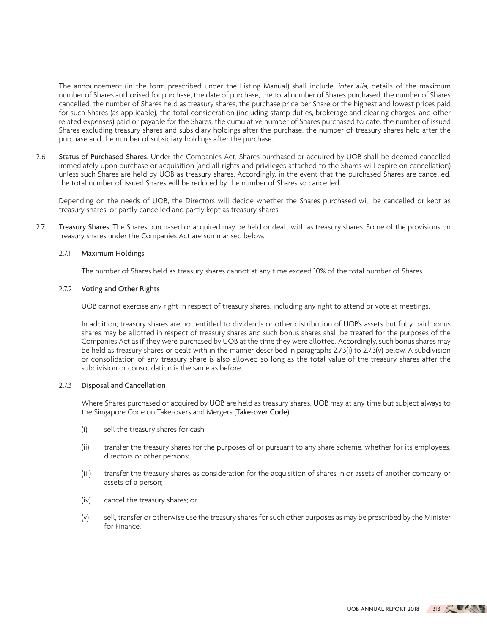The announcement (in the form prescribed under the Listing Manual) shall include, inter alia, details of the maximum number of Shares authorised for purchase, the date of purchase, the total number of Shares purchased, the number of Shares cancelled, the number of Shares held as treasury shares, the purchase price per Share or the highest and lowest prices paid for such Shares (as applicable), the total consideration (including stamp duties, brokerage and clearing charges, and other related expenses) paid or payable for the Shares, the cumulative number of Shares purchased to date, the number of issued Shares excluding treasury shares and subsidiary holdings after the purchase, the number of treasury shares held after the purchase and the number of subsidiary holdings after the purchase.

2.6 Status of Purchased Shares. Under the Companies Act, Shares purchased or acquired by UOB shall be deemed cancelled immediately upon purchase or acquisition (and all rights and privileges attached to the Shares will expire on cancellation) unless such Shares are held by UOB as treasury shares. Accordingly, in the event that the purchased Shares are cancelled, the total number of issued Shares will be reduced by the number of Shares so cancelled.

Depending on the needs of UOB, the Directors will decide whether the Shares purchased will be cancelled or kept as treasury shares, or partly cancelled and partly kept as treasury shares.

2.7 Treasury Shares. The Shares purchased or acquired may be held or dealt with as treasury shares. Some of the provisions on treasury shares under the Companies Act are summarised below.

# 2.7.1 Maximum Holdings

The number of Shares held as treasury shares cannot at any time exceed 10% of the total number of Shares.

# 2.7.2 Voting and Other Rights

UOB cannot exercise any right in respect of treasury shares, including any right to attend or vote at meetings.

In addition, treasury shares are not entitled to dividends or other distribution of UOB's assets but fully paid bonus shares may be allotted in respect of treasury shares and such bonus shares shall be treated for the purposes of the Companies Act as if they were purchased by UOB at the time they were allotted. Accordingly, such bonus shares may be held as treasury shares or dealt with in the manner described in paragraphs 2.7.3(i) to 2.7.3(v) below. A subdivision or consolidation of any treasury share is also allowed so long as the total value of the treasury shares after the subdivision or consolidation is the same as before.

### 2.7.3 Disposal and Cancellation

Where Shares purchased or acquired by UOB are held as treasury shares, UOB may at any time but subject always to the Singapore Code on Take-overs and Mergers (Take-over Code):

- (i) sell the treasury shares for cash;
- (ii) transfer the treasury shares for the purposes of or pursuant to any share scheme, whether for its employees, directors or other persons;
- (iii) transfer the treasury shares as consideration for the acquisition of shares in or assets of another company or assets of a person;
- (iv) cancel the treasury shares; or
- (v) sell, transfer or otherwise use the treasury shares for such other purposes as may be prescribed by the Minister for Finance.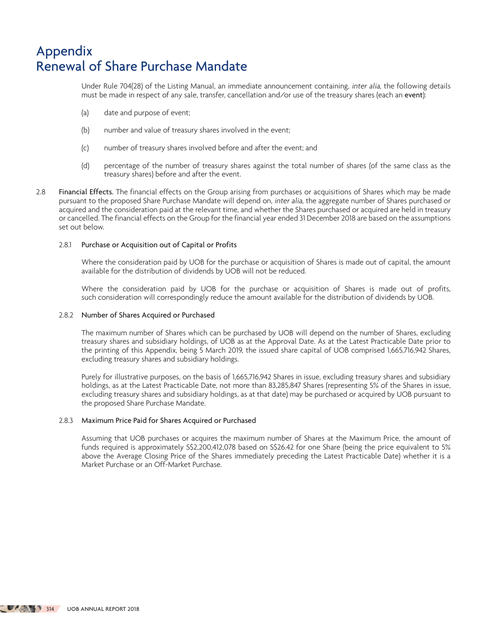Under Rule 704(28) of the Listing Manual, an immediate announcement containing, inter alia, the following details must be made in respect of any sale, transfer, cancellation and/or use of the treasury shares (each an event):

- (a) date and purpose of event;
- (b) number and value of treasury shares involved in the event;
- (c) number of treasury shares involved before and after the event; and
- (d) percentage of the number of treasury shares against the total number of shares (of the same class as the treasury shares) before and after the event.
- 2.8 Financial Effects. The financial effects on the Group arising from purchases or acquisitions of Shares which may be made pursuant to the proposed Share Purchase Mandate will depend on, inter alia, the aggregate number of Shares purchased or acquired and the consideration paid at the relevant time, and whether the Shares purchased or acquired are held in treasury or cancelled. The financial effects on the Group for the financial year ended 31 December 2018 are based on the assumptions set out below.

# 2.8.1 Purchase or Acquisition out of Capital or Profits

Where the consideration paid by UOB for the purchase or acquisition of Shares is made out of capital, the amount available for the distribution of dividends by UOB will not be reduced.

Where the consideration paid by UOB for the purchase or acquisition of Shares is made out of profits, such consideration will correspondingly reduce the amount available for the distribution of dividends by UOB.

# 2.8.2 Number of Shares Acquired or Purchased

The maximum number of Shares which can be purchased by UOB will depend on the number of Shares, excluding treasury shares and subsidiary holdings, of UOB as at the Approval Date. As at the Latest Practicable Date prior to the printing of this Appendix, being 5 March 2019, the issued share capital of UOB comprised 1,665,716,942 Shares, excluding treasury shares and subsidiary holdings.

Purely for illustrative purposes, on the basis of 1,665,716,942 Shares in issue, excluding treasury shares and subsidiary holdings, as at the Latest Practicable Date, not more than 83,285,847 Shares (representing 5% of the Shares in issue, excluding treasury shares and subsidiary holdings, as at that date) may be purchased or acquired by UOB pursuant to the proposed Share Purchase Mandate.

# 2.8.3 Maximum Price Paid for Shares Acquired or Purchased

Assuming that UOB purchases or acquires the maximum number of Shares at the Maximum Price, the amount of funds required is approximately S\$2,200,412,078 based on S\$26.42 for one Share (being the price equivalent to 5% above the Average Closing Price of the Shares immediately preceding the Latest Practicable Date) whether it is a Market Purchase or an Off-Market Purchase.

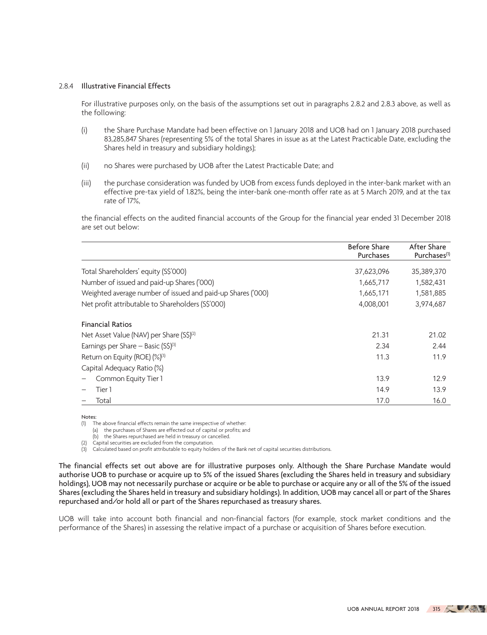### 2.8.4 Illustrative Financial Effects

For illustrative purposes only, on the basis of the assumptions set out in paragraphs 2.8.2 and 2.8.3 above, as well as the following:

- (i) the Share Purchase Mandate had been effective on 1 January 2018 and UOB had on 1 January 2018 purchased 83,285,847 Shares (representing 5% of the total Shares in issue as at the Latest Practicable Date, excluding the Shares held in treasury and subsidiary holdings);
- (ii) no Shares were purchased by UOB after the Latest Practicable Date; and
- (iii) the purchase consideration was funded by UOB from excess funds deployed in the inter-bank market with an effective pre-tax yield of 1.82%, being the inter-bank one-month offer rate as at 5 March 2019, and at the tax rate of 17%,

the financial effects on the audited financial accounts of the Group for the financial year ended 31 December 2018 are set out below:

|                                                             | <b>Before Share</b> | After Share              |
|-------------------------------------------------------------|---------------------|--------------------------|
|                                                             | Purchases           | Purchases <sup>(1)</sup> |
| Total Shareholders' equity (S\$'000)                        | 37,623,096          | 35,389,370               |
| Number of issued and paid-up Shares ('000)                  | 1,665,717           | 1,582,431                |
| Weighted average number of issued and paid-up Shares ('000) | 1,665,171           | 1,581,885                |
| Net profit attributable to Shareholders (S\$'000)           | 4,008,001           | 3,974,687                |
| <b>Financial Ratios</b>                                     |                     |                          |
| Net Asset Value (NAV) per Share (S\$) <sup>(2)</sup>        | 21.31               | 21.02                    |
| Earnings per Share - Basic $(S\hat{S})^{(3)}$               | 2.34                | 2.44                     |
| Return on Equity (ROE) (%)(3)                               | 11.3                | 11.9                     |
| Capital Adequacy Ratio (%)                                  |                     |                          |
| Common Equity Tier 1                                        | 13.9                | 12.9                     |
| Tier 1                                                      | 14.9                | 13.9                     |
| Total                                                       | 17.0                | 16.0                     |

Notes:

(1) The above financial effects remain the same irrespective of whether:

(a) the purchases of Shares are effected out of capital or profits; and

(b) the Shares repurchased are held in treasury or cancelled.

(2) Capital securities are excluded from the computation.

 $\binom{3}{3}$  Calculated based on profit attributable to equity holders of the Bank net of capital securities distributions.

The financial effects set out above are for illustrative purposes only. Although the Share Purchase Mandate would authorise UOB to purchase or acquire up to 5% of the issued Shares (excluding the Shares held in treasury and subsidiary holdings), UOB may not necessarily purchase or acquire or be able to purchase or acquire any or all of the 5% of the issued Shares (excluding the Shares held in treasury and subsidiary holdings). In addition, UOB may cancel all or part of the Shares repurchased and/or hold all or part of the Shares repurchased as treasury shares.

UOB will take into account both financial and non-financial factors (for example, stock market conditions and the performance of the Shares) in assessing the relative impact of a purchase or acquisition of Shares before execution.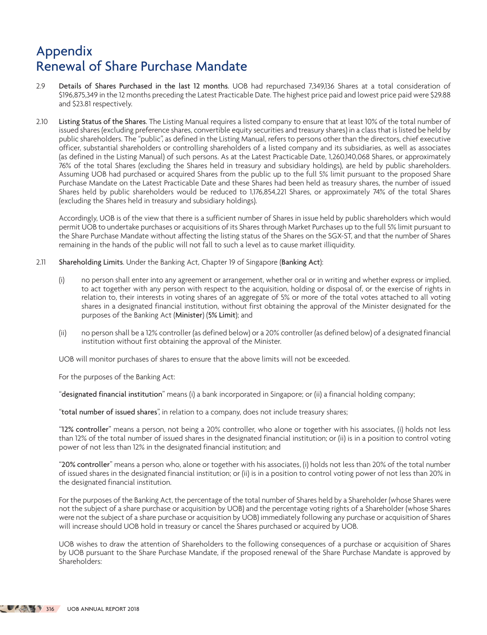- 2.9 Details of Shares Purchased in the last 12 months. UOB had repurchased 7,349,136 Shares at a total consideration of \$196,875,349 in the 12 months preceding the Latest Practicable Date. The highest price paid and lowest price paid were \$29.88 and \$23.81 respectively.
- 2.10 Listing Status of the Shares. The Listing Manual requires a listed company to ensure that at least 10% of the total number of issued shares (excluding preference shares, convertible equity securities and treasury shares) in a class that is listed be held by public shareholders. The "public", as defined in the Listing Manual, refers to persons other than the directors, chief executive officer, substantial shareholders or controlling shareholders of a listed company and its subsidiaries, as well as associates (as defined in the Listing Manual) of such persons. As at the Latest Practicable Date, 1,260,140,068 Shares, or approximately 76% of the total Shares (excluding the Shares held in treasury and subsidiary holdings), are held by public shareholders. Assuming UOB had purchased or acquired Shares from the public up to the full 5% limit pursuant to the proposed Share Purchase Mandate on the Latest Practicable Date and these Shares had been held as treasury shares, the number of issued Shares held by public shareholders would be reduced to 1,176,854,221 Shares, or approximately 74% of the total Shares (excluding the Shares held in treasury and subsidiary holdings).

Accordingly, UOB is of the view that there is a sufficient number of Shares in issue held by public shareholders which would permit UOB to undertake purchases or acquisitions of its Shares through Market Purchases up to the full 5% limit pursuant to the Share Purchase Mandate without affecting the listing status of the Shares on the SGX-ST, and that the number of Shares remaining in the hands of the public will not fall to such a level as to cause market illiquidity.

- 2.11 Shareholding Limits. Under the Banking Act, Chapter 19 of Singapore (Banking Act):
	- (i) no person shall enter into any agreement or arrangement, whether oral or in writing and whether express or implied, to act together with any person with respect to the acquisition, holding or disposal of, or the exercise of rights in relation to, their interests in voting shares of an aggregate of 5% or more of the total votes attached to all voting shares in a designated financial institution, without first obtaining the approval of the Minister designated for the purposes of the Banking Act (Minister) (5% Limit); and
	- (ii) no person shall be a 12% controller (as defined below) or a 20% controller (as defined below) of a designated financial institution without first obtaining the approval of the Minister.

UOB will monitor purchases of shares to ensure that the above limits will not be exceeded.

For the purposes of the Banking Act:

"designated financial institution" means (i) a bank incorporated in Singapore; or (ii) a financial holding company;

"total number of issued shares", in relation to a company, does not include treasury shares;

"12% controller" means a person, not being a 20% controller, who alone or together with his associates, (i) holds not less than 12% of the total number of issued shares in the designated financial institution; or (ii) is in a position to control voting power of not less than 12% in the designated financial institution; and

"20% controller" means a person who, alone or together with his associates, (i) holds not less than 20% of the total number of issued shares in the designated financial institution; or (ii) is in a position to control voting power of not less than 20% in the designated financial institution.

For the purposes of the Banking Act, the percentage of the total number of Shares held by a Shareholder (whose Shares were not the subject of a share purchase or acquisition by UOB) and the percentage voting rights of a Shareholder (whose Shares were not the subject of a share purchase or acquisition by UOB) immediately following any purchase or acquisition of Shares will increase should UOB hold in treasury or cancel the Shares purchased or acquired by UOB.

UOB wishes to draw the attention of Shareholders to the following consequences of a purchase or acquisition of Shares by UOB pursuant to the Share Purchase Mandate, if the proposed renewal of the Share Purchase Mandate is approved by Shareholders: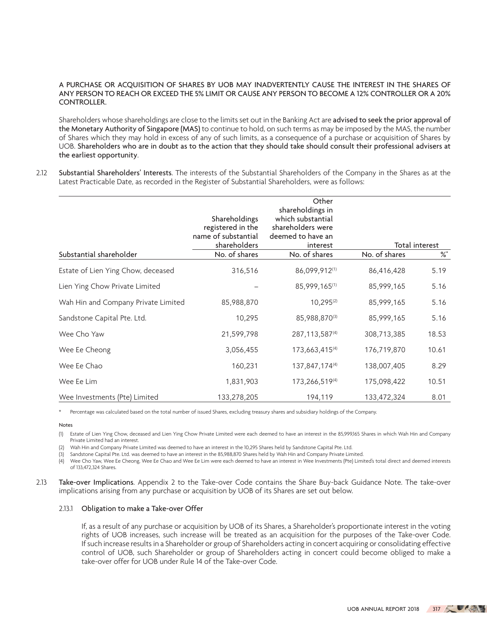# A PURCHASE OR ACQUISITION OF SHARES BY UOB MAY INADVERTENTLY CAUSE THE INTEREST IN THE SHARES OF ANY PERSON TO REACH OR EXCEED THE 5% LIMIT OR CAUSE ANY PERSON TO BECOME A 12% CONTROLLER OR A 20% **CONTROLLER**

Shareholders whose shareholdings are close to the limits set out in the Banking Act are advised to seek the prior approval of the Monetary Authority of Singapore (MAS) to continue to hold, on such terms as may be imposed by the MAS, the number of Shares which they may hold in excess of any of such limits, as a consequence of a purchase or acquisition of Shares by UOB. Shareholders who are in doubt as to the action that they should take should consult their professional advisers at the earliest opportunity.

2.12 Substantial Shareholders' Interests. The interests of the Substantial Shareholders of the Company in the Shares as at the Latest Practicable Date, as recorded in the Register of Substantial Shareholders, were as follows:

|                                     | Shareholdings<br>registered in the<br>name of substantial | Other<br>shareholdings in<br>which substantial<br>shareholders were<br>deemed to have an |               |                       |
|-------------------------------------|-----------------------------------------------------------|------------------------------------------------------------------------------------------|---------------|-----------------------|
|                                     | shareholders                                              | interest                                                                                 |               | <b>Total interest</b> |
| Substantial shareholder             | No. of shares                                             | No. of shares                                                                            | No. of shares | ℅                     |
| Estate of Lien Ying Chow, deceased  | 316,516                                                   | 86,099,912(1)                                                                            | 86,416,428    | 5.19                  |
| Lien Ying Chow Private Limited      |                                                           | 85,999,165(1)                                                                            | 85,999,165    | 5.16                  |
| Wah Hin and Company Private Limited | 85,988,870                                                | $10,295^{(2)}$                                                                           | 85,999,165    | 5.16                  |
| Sandstone Capital Pte. Ltd.         | 10,295                                                    | 85,988,870(3)                                                                            | 85,999,165    | 5.16                  |
| Wee Cho Yaw                         | 21,599,798                                                | 287, 113, 587(4)                                                                         | 308,713,385   | 18.53                 |
| Wee Ee Cheong                       | 3,056,455                                                 | 173,663,415 <sup>(4)</sup>                                                               | 176,719,870   | 10.61                 |
| Wee Ee Chao                         | 160,231                                                   | 137,847,174(4)                                                                           | 138,007,405   | 8.29                  |
| Wee Ee Lim                          | 1,831,903                                                 | 173,266,519(4)                                                                           | 175,098,422   | 10.51                 |
| Wee Investments (Pte) Limited       | 133,278,205                                               | 194,119                                                                                  | 133,472,324   | 8.01                  |

Percentage was calculated based on the total number of issued Shares, excluding treasury shares and subsidiary holdings of the Company.

Notes

(1) Estate of Lien Ying Chow, deceased and Lien Ying Chow Private Limited were each deemed to have an interest in the 85,999,165 Shares in which Wah Hin and Company Private Limited had an interest.

(2) Wah Hin and Company Private Limited was deemed to have an interest in the 10,295 Shares held by Sandstone Capital Pte. Ltd.

(3) Sandstone Capital Pte. Ltd. was deemed to have an interest in the 85,988,870 Shares held by Wah Hin and Company Private Limited.

(4) Wee Cho Yaw, Wee Ee Cheong, Wee Ee Chao and Wee Ee Lim were each deemed to have an interest in Wee Investments (Pte) Limited's total direct and deemed interests of 133,472,324 Shares.

2.13 Take-over Implications. Appendix 2 to the Take-over Code contains the Share Buy-back Guidance Note. The take-over implications arising from any purchase or acquisition by UOB of its Shares are set out below.

# 2.13.1 Obligation to make a Take-over Offer

If, as a result of any purchase or acquisition by UOB of its Shares, a Shareholder's proportionate interest in the voting rights of UOB increases, such increase will be treated as an acquisition for the purposes of the Take-over Code. If such increase results in a Shareholder or group of Shareholders acting in concert acquiring or consolidating effective control of UOB, such Shareholder or group of Shareholders acting in concert could become obliged to make a take-over offer for UOB under Rule 14 of the Take-over Code.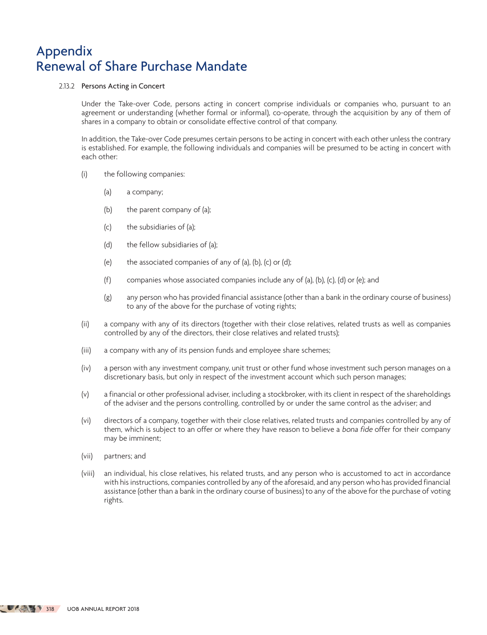# 2.13.2 Persons Acting in Concert

Under the Take-over Code, persons acting in concert comprise individuals or companies who, pursuant to an agreement or understanding (whether formal or informal), co-operate, through the acquisition by any of them of shares in a company to obtain or consolidate effective control of that company.

In addition, the Take-over Code presumes certain persons to be acting in concert with each other unless the contrary is established. For example, the following individuals and companies will be presumed to be acting in concert with each other:

- (i) the following companies:
	- (a) a company;
	- (b) the parent company of (a);
	- (c) the subsidiaries of (a);
	- (d) the fellow subsidiaries of (a);
	- (e) the associated companies of any of (a), (b), (c) or (d);
	- (f) companies whose associated companies include any of (a), (b), (c), (d) or (e); and
	- (g) any person who has provided financial assistance (other than a bank in the ordinary course of business) to any of the above for the purchase of voting rights;
- (ii) a company with any of its directors (together with their close relatives, related trusts as well as companies controlled by any of the directors, their close relatives and related trusts);
- (iii) a company with any of its pension funds and employee share schemes;
- (iv) a person with any investment company, unit trust or other fund whose investment such person manages on a discretionary basis, but only in respect of the investment account which such person manages;
- (v) a financial or other professional adviser, including a stockbroker, with its client in respect of the shareholdings of the adviser and the persons controlling, controlled by or under the same control as the adviser; and
- (vi) directors of a company, together with their close relatives, related trusts and companies controlled by any of them, which is subject to an offer or where they have reason to believe a bona fide offer for their company may be imminent;
- (vii) partners; and
- (viii) an individual, his close relatives, his related trusts, and any person who is accustomed to act in accordance with his instructions, companies controlled by any of the aforesaid, and any person who has provided financial assistance (other than a bank in the ordinary course of business) to any of the above for the purchase of voting rights.